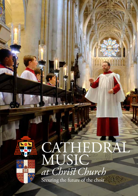

# CATHEDRAL **MUSIC** *at Chris Church*

Securing the future of the choir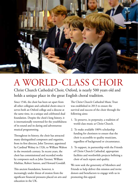

# A WORLD-CLASS CHOIR

Christ Church Cathedral Choir, Oxford, is nearly 500 years old and holds a unique place in the great English choral tradition.

Since 1546, the choir has been set apart from all other collegiate and cathedral choirs since it serves both an Oxford college and a diocese at the same time, in a unique and celebrated dual foundation. Despite the choir's long history, it is internationally renowned for the youthfulness of its sound and its daring and adventurous musical programming.

Throughout its history, the choir has attracted many distinguished composers and organists, from its first director, John Taverner, appointed by Cardinal Wolsey in 1526, to William Walton in the twentieth century. In recent years, the choir has commissioned and recorded works by composers such as John Tavener, William Mathias, Robert Saxton, and Howard Goodall.

This ancient foundation, however, is increasingly under threat of erosion from the significant financial pressures placed on arts and education in the UK.

The Christ Church Cathedral Music Trust was established in 2013 to ensure the survival and success of the choir through the following aims:

- 1. To preserve, in perpetuity, a tradition of world-class music at Christ Church.
- 2. To make available 100% scholarship funding for choristers to ensure that the choir is accessible to quality musicians, regardless of background or circumstance.
- 3. To support, in partnership with the Friends of Christ Church Cathedral, appropriate facilities and worthwhile projects befitting a choir of such repute and quality.

We now seek the generosity of Members and Friends to help deliver this mission and invite donors and benefactors to engage with us in promoting this appeal.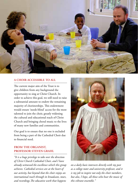

### **A CHOIR ACCESSIBLE TO ALL**

The current major aim of the Trust is to give children from any background the opportunity to sing at Christ Church. In order to achieve this goal, we still need to raise a substantial amount to endow the remaining majority of choristerships. This endowment would ensure 'needs-blind' access for the most talented to join the choir, greatly widening the cultural and educational reach of Christ Church and bringing choral music to the lives of many new families and communities.

Our goal is to ensure that no one is excluded from being a part of the Cathedral Choir due to financial need.

## **FROM THE ORGANIST, PROFESSOR STEVEN GRAHL**

*"It is a huge privilege to take over the direction of Christ Church Cathedral Choir, and I have already witnessed the excellence which this group achieves. Cathedral services are at the heart of our activity, but beyond that the choir enjoys an international reach through its broadcasts, tours, and recordings.The educative work that happens* 



*on a daily basis intersects directly with my post as a college tutor and university professor, and it is my job to inspire not only the choir members, but also, I hope, all those who hear the music of this vibrant ensemble."*